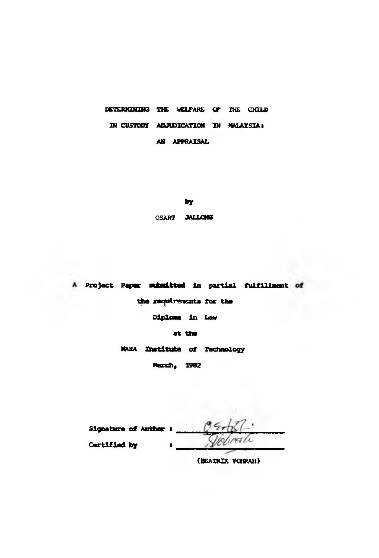DETERMINING THE WELFARE OF THE CHILD IN CUSTODY ADJUDICATION IN MALAYSIA: AN APPRAISAL

by

OSART JALLONG

A Project Paper subsitted in partial fulfillment of the requirements for the Diploma in Law at the MARA Institute of Technology **Harch, 1982** 

| <b>Signature of Author :</b> | 0        |
|------------------------------|----------|
| <b>Certified by</b>          | Violente |

(BEATRIX VORRAH)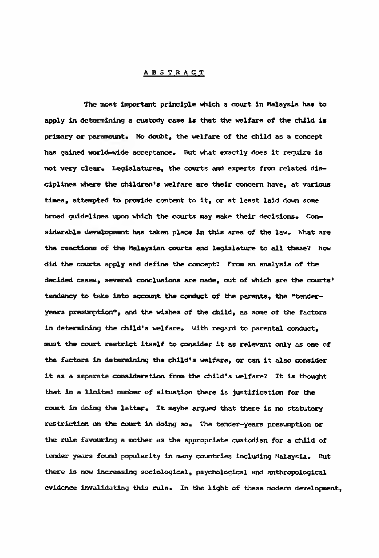## **ABSTRACT**

**The most important principle which a court in Malaysia has to apply in determining a custody case is that the welfare of the child is primary or paramount. No doubt, the welfare of the child as a concept has gained world-wide acceptance. But what exactly does it require is** not very clear. Legislatures, the courts and experts from related dis**ciplines where the children's welfare are their concern have, at various times, attempted to provide content to it, or at least laid down some broad guidelines upon which the courts may make their decisions. Considerable development has taken place in this area of the law. What are the reactions of the Malaysian courts and legislature to all these? How did the courts apply and define the concept? From an analysis of the decided cases, several conclusions are made, out of which are the courts\* tendency to take into account the conduct of the parents, the "tender**years presumption<sup>"</sup>, and the wishes of the child, as some of the factors **in determining the child's welfare, with regard to parental conduct, must the court restrict itself to consider it as relevant only as one of the factors in determining the child**'3 **welfare, or can it also consider it as a separate consideration from the child's welfare? It is thought that in a limited number of situation there is justification for the court in doing the latter. It maybe argued that there is no statutory restriction on the court in doing so. The tender-years presumption or the rule favouring a mother as the appropriate custodian for a child of tender years found popularity in many countries including Malaysia. But there is now increasing sociological, psychological and anthropological evidence invalidating this rule. In the light of these modem development,**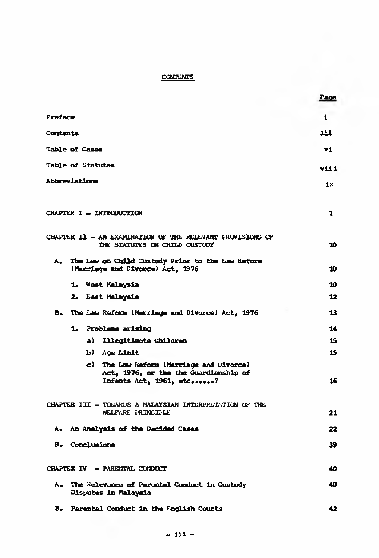## **CONTENTS**

|          |                                                                                                              | Page         |
|----------|--------------------------------------------------------------------------------------------------------------|--------------|
| Preface  |                                                                                                              | $\mathbf{1}$ |
| Contents |                                                                                                              | 111          |
|          | Table of Cases                                                                                               | v1           |
|          | Table of Statutes                                                                                            | v11 1        |
|          | Abbreviations                                                                                                | ix           |
|          |                                                                                                              |              |
|          | CHAPTER I - INTRODUCTION                                                                                     | 1            |
|          | CHAPTER II - AN EXAMINATION OF THE RELEVANT PROVISIONS OF<br>THE STATUTES ON CHILD CUSTODY                   | 10           |
| λ.       | The Law on Child Custody Prior to the Law Reform<br>(Marriage and Divorce) Act, 1976                         | 10           |
|          | 1. West Malaysia                                                                                             | 10           |
|          | 2. East Malaysia                                                                                             | 12           |
| в.       | The Law Reform (Marriage and Divorce) Act, 1976                                                              | 13           |
|          | 1. Problems arising                                                                                          | 14           |
|          | a) Illegitimate Children                                                                                     | 15           |
|          | b) Age Limit                                                                                                 | 15           |
|          | c) The Law Reform (Merriage and Divorce)<br>Act, 1976, or the the Guardianship of<br>Infants Act, 1961, etc? | 16           |
|          | CHAPTER III - TOWARDS A MALAYSIAN INTERPRETATION OF THE<br>WELFARE PRINCIPLE                                 | 21           |
|          | A. An Analysis of the Decided Cases                                                                          | 22           |
|          | B. Conclusions                                                                                               | 39           |
|          | CHAPTER IV - PARENTAL CUNDUCT                                                                                | 40           |
| ۸.       | The Relevance of Parental Conduct in Custody<br>Disputes in Malaysia                                         | 40           |
| в.       | Parental Conduct in the English Courts                                                                       | 42           |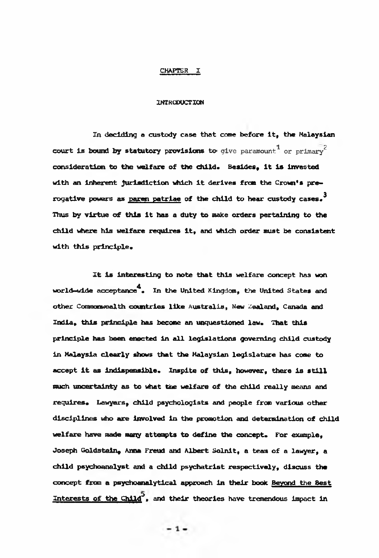## **CHAPTER I**

## **INTRODUCTION**

**In deciding a custody case that come before it, the Malaysian** court is bound by statutory provisions to give paramount.<sup>1</sup> or primary<sup>2</sup> **consideration to the welfare of the child\* Besides, it is invested with an inherent jurisdiction which it derives from the Crown's prerogative powers as paren patriae of the child to tear custody cases.3 Thus by virtue of this it has a duty to make orders pertaining to the child where his welfare requires it, and which order must be consistent** with this principle.

**It is Interesting to note that this welfare concept has won world-wide acceptance4\* In the United Kingdom, the United States and other Commonwealth countries like Australia, New Zealand, Canada and India, this principle has become an unquestioned law\* That this principle has been enocted in all legislations governing child custody in Malaysia clearly shows that the Malaysian legislature has come to** accept it as indispensible. Inspite of this, however, there is still **much uncertainty as to what the welfare of the child really means and** requires. Lawyers, child psychologists and people from various other **disciplines who are involved in the promotion and determination of child** welfare have made many attempts to define the concept. For example. **Joseph Goldstein, Anna Freud and Albert Solnit, a team of a lawyer, a child psychoanalyst and a child psychatrlst respectively, discuss the concept from a psychoanalytical approach in their book Beyond the Best Interests of the Chlld~\ and their theories have tremendous impact in**

 $-1-$